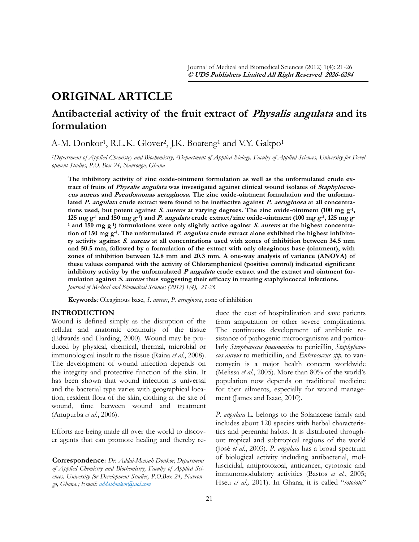# **ORIGINAL ARTICLE**

## **Antibacterial activity of the fruit extract of Physalis angulata and its formulation**

A-M. Donkor<sup>1</sup>, R.L.K. Glover<sup>2</sup>, J.K. Boateng<sup>1</sup> and V.Y. Gakpo<sup>1</sup>

*1Department of Applied Chemistry and Biochemistry, 2Department of Applied Biology, Faculty of Applied Sciences, University for Development Studies, P.O. Box 24, Navrongo, Ghana*

**The inhibitory activity of zinc oxide-ointment formulation as well as the unformulated crude extract of fruits of Physalis angulata was investigated against clinical wound isolates of Staphylococcus aureus and Pseudomonas aeruginosa. The zinc oxide-ointment formulation and the unformulated P. angulata crude extract were found to be ineffective against P. aeruginosa at all concentrations used, but potent against S. aureus at varying degrees. The zinc oxide-ointment (100 mg g-1 , 125 mg g-1 and 150 mg g-1) and P. angulata crude extract/zinc oxide-ointment (100 mg g-1 , 125 mg g-<sup>1</sup> and 150 mg g-1) formulations were only slightly active against S. aureus at the highest concentration of 150 mg g-1 . The unformulated P. angulata crude extract alone exhibited the highest inhibitory activity against S. aureus at all concentrations used with zones of inhibition between 34.5 mm and 50.5 mm, followed by a formulation of the extract with only oleaginous base (ointment), with zones of inhibition between 12.8 mm and 20.3 mm. A one-way analysis of variance (ANOVA) of these values compared with the activity of Chloramphenicol (positive control) indicated significant**  inhibitory activity by the unformulated *P* angulata crude extract and the extract and ointment for**mulation against S. aureus thus suggesting their efficacy in treating staphylococcal infections.**  *Journal of Medical and Biomedical Sciences (2012) 1(4), 21-26*

**Keywords***:* Oleaginous base, *S. aureus*, *P. aeruginosa*, zone of inhibition

## **INTRODUCTION**

Wound is defined simply as the disruption of the cellular and anatomic continuity of the tissue (Edwards and Harding, 2000). Wound may be produced by physical, chemical, thermal, microbial or immunological insult to the tissue (Raina *et al*., 2008). The development of wound infection depends on the integrity and protective function of the skin. It has been shown that wound infection is universal and the bacterial type varies with geographical location, resident flora of the skin, clothing at the site of wound, time between wound and treatment (Anupurba *et al*., 2006).

Efforts are being made all over the world to discover agents that can promote healing and thereby re-

**Correspondence:** *Dr. Addai-Mensah Donkor, Department of Applied Chemistry and Biochemistry, Faculty of Applied Sciences, University for Development Studies, P.O.Box 24, Navrongo, Ghana.; Email: addaidonkor@aol.com*

duce the cost of hospitalization and save patients from amputation or other severe complications. The continuous development of antibiotic resistance of pathogenic microorganisms and particularly *Streptococcus pneumoniae* to penicillin, *Staphylococcus aureus* to methicillin, and *Enterococcus spp.* to vancomycin is a major health concern worldwide (Melissa *et al*., 2005). More than 80% of the world"s population now depends on traditional medicine for their ailments, especially for wound management (James and Isaac, 2010).

*P. angulata* L*.* belongs to the Solanaceae family and includes about 120 species with herbal characteristics and perennial habits. It is distributed throughout tropical and subtropical regions of the world (José *et al*., 2003). *P. angulata* has a broad spectrum of biological activity including antibacterial, molluscicidal, antiprotozoal, anticancer, cytotoxic and immunomodulatory activities (Bastos *et al.*, 2005; Hseu *et al.,* 2011). In Ghana, it is called "*totototo*"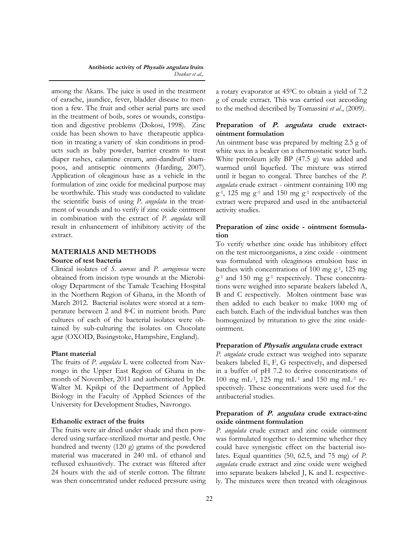among the Akans. The juice is used in the treatment of earache, jaundice, fever, bladder disease to mention a few. The fruit and other aerial parts are used in the treatment of boils, sores or wounds, constipation and digestive problems (Dokosi, 1998). Zinc oxide has been shown to have therapeutic application in treating a variety of skin conditions in products such as [baby powder,](http://en.wikipedia.org/wiki/Baby_powder) [barrier creams](http://en.wikipedia.org/wiki/Barrier_cream) to treat [diaper rashes,](http://en.wikipedia.org/wiki/Diaper_rash) [calamine](http://en.wikipedia.org/wiki/Calamine) cream, anti-[dandruff](http://en.wikipedia.org/wiki/Dandruff) [sham](http://en.wikipedia.org/wiki/Shampoo)[poos,](http://en.wikipedia.org/wiki/Shampoo) and [antiseptic](http://en.wikipedia.org/wiki/Antiseptic) ointments ([Harding,](http://www.bnf.org/bnf/bnf/current/5809.htm) 2007). Application of oleaginous base as a vehicle in the formulation of zinc oxide for medicinal purpose may be worthwhile. This study was conducted to validate the scientific basis of using *P. angulata* in the treatment of wounds and to verify if zinc oxide ointment in combination with the extract of *P. angulata* will result in enhancement of inhibitory activity of the extract.

## **MATERIALS AND METHODS**

#### **Source of test bacteria**

Clinical isolates of *S. aureus* and *P. aeruginosa* were obtained from incision type wounds at the Microbiology Department of the Tamale Teaching Hospital in the Northern Region of Ghana, in the Month of March 2012. Bacterial isolates were stored at a temperature between 2 and 8oC in nutrient broth. Pure cultures of each of the bacterial isolates were obtained by sub-culturing the isolates on Chocolate agar (OXOID, Basingstoke, Hampshire, England).

#### **Plant material**

The fruits of *P. angulata* L were collected from Navrongo in the Upper East Region of Ghana in the month of November, 2011 and authenticated by Dr. Walter M. Kpikpi of the Department of Applied Biology in the Faculty of Applied Sciences of the University for Development Studies, Navrongo.

#### **Ethanolic extract of the fruits**

The fruits were air dried under shade and then powdered using surface-sterilized mortar and pestle. One hundred and twenty (120 g) grams of the powdered material was macerated in 240 mL of ethanol and refluxed exhaustively. The extract was filtered after 24 hours with the aid of sterile cotton. The filtrate was then concentrated under reduced pressure using a rotary evaporator at 450C to obtain a yield of 7.2 g of crude extract. This was carried out according to the method described by Tomassini *et al*., (2009).

## **Preparation of P. angulata crude extractointment formulation**

An ointment base was prepared by melting 2.5 g of white wax in a beaker on a thermostatic water bath. White petroleum jelly BP (47.5 g) was added and warmed until liquefied. The mixture was stirred until it began to congeal. Three batches of the *P. angulata* crude extract - ointment containing 100 mg  $g<sup>-1</sup>$ , 125 mg  $g<sup>-1</sup>$  and 150 mg  $g<sup>-1</sup>$  respectively of the extract were prepared and used in the antibacterial activity studies.

## **Preparation of zinc oxide - ointment formulation**

To verify whether zinc oxide has inhibitory effect on the test microorganisms, a zinc oxide - ointment was formulated with oleaginous emulsion base in batches with concentrations of 100 mg  $g^{-1}$ , 125 mg  $g<sup>-1</sup>$  and 150 mg  $g<sup>-1</sup>$  respectively. These concentrations were weighed into separate beakers labeled A, B and C respectively. Molten ointment base was then added to each beaker to make 1000 mg of each batch. Each of the individual batches was then homogenized by trituration to give the zinc oxideointment.

#### **Preparation of Physalis angulata crude extract**

*P. angulata* crude extract was weighed into separate beakers labeled E, F, G respectively, and dispersed in a buffer of pH 7.2 to derive concentrations of 100 mg mL-1, 125 mg mL-1 and 150 mg mL-1 respectively. These concentrations were used for the antibacterial studies.

#### **Preparation of P. angulata crude extract-zinc oxide ointment formulation**

*P. angulata* crude extract and zinc oxide ointment was formulated together to determine whether they could have synergistic effect on the bacterial isolates. Equal quantities (50, 62.5, and 75 mg) of *P. angulata* crude extract and zinc oxide were weighed into separate beakers labeled J, K and L respectively. The mixtures were then treated with oleaginous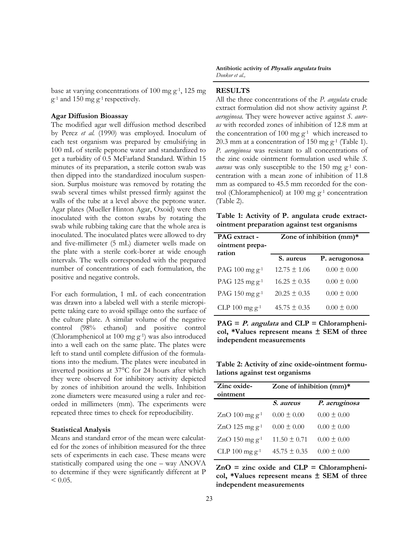base at varying concentrations of 100 mg  $g^{-1}$ , 125 mg  $g^{-1}$  and 150 mg  $g^{-1}$  respectively.

## **Agar Diffusion Bioassay**

The modified agar well diffusion method described by Perez *et al.* (1990) was employed. Inoculum of each test organism was prepared by emulsifying in 100 mL of sterile peptone water and standardized to get a turbidity of 0.5 McFarland Standard. Within 15 minutes of its preparation, a sterile cotton swab was then dipped into the standardized inoculum suspension. Surplus moisture was removed by rotating the swab several times whilst pressed firmly against the walls of the tube at a level above the peptone water. Agar plates (Mueller Hinton Agar, Oxoid) were then inoculated with the cotton swabs by rotating the swab while rubbing taking care that the whole area is inoculated. The inoculated plates were allowed to dry and five-millimeter (5 mL) diameter wells made on the plate with a sterile cork-borer at wide enough intervals. The wells corresponded with the prepared number of concentrations of each formulation, the positive and negative controls.

For each formulation, 1 mL of each concentration was drawn into a labeled well with a sterile micropipette taking care to avoid spillage onto the surface of the culture plate. A similar volume of the negative control (98% ethanol) and positive control (Chloramphenicol at 100 mg g-1) was also introduced into a well each on the same plate. The plates were left to stand until complete diffusion of the formulations into the medium. The plates were incubated in inverted positions at 37°C for 24 hours after which they were observed for inhibitory activity depicted by zones of inhibition around the wells. Inhibition zone diameters were measured using a ruler and recorded in millimeters (mm). The experiments were repeated three times to check for reproducibility.

#### **Statistical Analysis**

Means and standard error of the mean were calculated for the zones of inhibition measured for the three sets of experiments in each case. These means were statistically compared using the one – way ANOVA to determine if they were significantly different at P  $< 0.05$ .

**Antibiotic activity of Physalis angulata fruits**  *Donkor et al.,*

## **RESULTS**

All the three concentrations of the *P. angulata* crude extract formulation did not show activity against *P. aeruginosa.* They were however active against *S. aureus* with recorded zones of inhibition of 12.8 mm at the concentration of 100 mg  $g^{-1}$  which increased to 20.3 mm at a concentration of 150 mg  $g^{-1}$  (Table 1). *P. aeruginosa* was resistant to all concentrations of the zinc oxide ointment formulation used while *S. aureus* was only susceptible to the 150 mg g<sup>-1</sup> concentration with a mean zone of inhibition of 11.8 mm as compared to 45.5 mm recorded for the control (Chloramphenicol) at 100 mg  $g^{-1}$  concentration (Table 2).

**Table 1: Activity of P. angulata crude extractointment preparation against test organisms**

| <b>PAG</b> extract -<br>ointment prepa-<br>ration | Zone of inhibition (mm)* |                 |  |
|---------------------------------------------------|--------------------------|-----------------|--|
|                                                   | S. aureus                | P. aerugonosa   |  |
| PAG 100 mg $g^{-1}$                               | $12.75 \pm 1.06$         | $0.00 \pm 0.00$ |  |
| PAG 125 mg $g^{-1}$                               | $16.25 \pm 0.35$         | $0.00 \pm 0.00$ |  |
| PAG 150 mg $g^{-1}$                               | $20.25 \pm 0.35$         | $0.00 \pm 0.00$ |  |
| CLP $100 \text{ mg } g^{-1}$                      | $45.75 \pm 0.35$         | $0.00 \pm 0.00$ |  |

**PAG = P. angulata and CLP = Chloramphenicol, \*Values represent means ± SEM of three independent measurements**

**Table 2: Activity of zinc oxide-ointment formulations against test organisms**

| Zinc oxide-<br>ointment      | Zone of inhibition $(mm)^*$ |                 |  |
|------------------------------|-----------------------------|-----------------|--|
|                              | <i>S. aureus</i>            | P. aeruginosa   |  |
| $ZnO$ 100 mg g <sup>-1</sup> | $0.00 \pm 0.00$             | $0.00 \pm 0.00$ |  |
| ZnO 125 mg $g^{-1}$          | $0.00 \pm 0.00$             | $0.00 \pm 0.00$ |  |
| $ZnO$ 150 mg g <sup>-1</sup> | $11.50 \pm 0.71$            | $0.00 \pm 0.00$ |  |
| CLP 100 mg $g^{-1}$          | $45.75 \pm 0.35$            | $0.00 \pm 0.00$ |  |

**ZnO = zinc oxide and CLP = Chloramphenicol, \*Values represent means ± SEM of three independent measurements**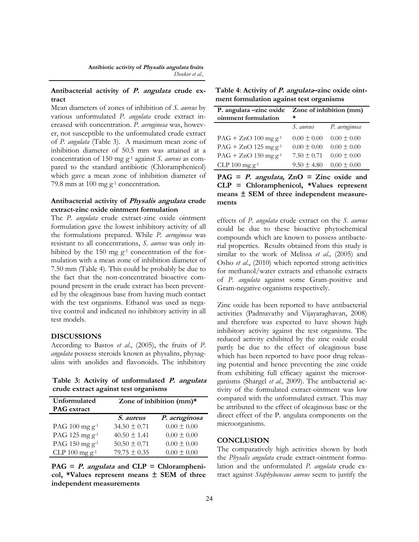## **Antibacterial activity of P. angulata crude extract**

Mean diameters of zones of inhibition of *S. aureus* by various unformulated *P. angulata* crude extract increased with concentration. *P. aeruginosa* was, however, not susceptible to the unformulated crude extract of *P. angulata* (Table 3). A maximum mean zone of inhibition diameter of 50.5 mm was attained at a concentration of 150 mg g-1 against *S. aureus* as compared to the standard antibiotic (Chloramphenicol) which gave a mean zone of inhibition diameter of 79.8 mm at 100 mg  $g^{-1}$  concentration.

## **Antibacterial activity of Physalis angulata crude extract-zinc oxide ointment formulation**

The *P. angulata* crude extract-zinc oxide ointment formulation gave the lowest inhibitory activity of all the formulations prepared. While *P. aeruginosa* was resistant to all concentrations, *S. aureus* was only inhibited by the 150 mg  $g^{-1}$  concentration of the formulation with a mean zone of inhibition diameter of 7.50 mm (Table 4). This could be probably be due to the fact that the non-concentrated bioactive compound present in the crude extract has been prevented by the oleaginous base from having much contact with the test organisms. Ethanol was used as negative control and indicated no inhibitory activity in all test models.

## **DISCUSSIONS**

According to Bastos *et al*., (2005), the fruits of *P. angulata* possess steroids known as physalins, physagulins with anolides and flavonoids. The inhibitory

**Table 3: Activity of unformulated P. angulata crude extract against test organisms**

| Unformulated                 | Zone of inhibition (mm)* |                 |  |
|------------------------------|--------------------------|-----------------|--|
| <b>PAG</b> extract           |                          |                 |  |
|                              | <i>S.</i> aureus         | P. aeruginosa   |  |
| PAG $100 \text{ mg } g^{-1}$ | $34.50 \pm 0.71$         | $0.00 \pm 0.00$ |  |
| PAG 125 mg g <sup>-1</sup>   | $40.50 \pm 1.41$         | $0.00 \pm 0.00$ |  |
| PAG 150 mg $g^{-1}$          | $50.50 \pm 0.71$         | $0.00 \pm 0.00$ |  |
| CLP 100 mg $g^{-1}$          | $79.75 \pm 0.35$         | $0.00 \pm 0.00$ |  |

**PAG = P. angulata and CLP = Chloramphenicol, \*Values represent means ± SEM of three independent measurements**

| Table 4: Activity of <i>P. angulata</i> -zinc oxide oint- |
|-----------------------------------------------------------|
| ment formulation against test organisms                   |

| P. angulata -zinc oxide<br>ointment formulation | Zone of inhibition (mm)<br>* |                 |
|-------------------------------------------------|------------------------------|-----------------|
|                                                 | S. aureus                    | P. aeruginosa   |
| $PAG + ZnO$ 100 mg g <sup>-1</sup>              | $0.00 \pm 0.00$              | $0.00 \pm 0.00$ |
| $PAG + ZnO$ 125 mg g <sup>-1</sup>              | $0.00 \pm 0.00$              | $0.00 \pm 0.00$ |
| $PAG + ZnO$ 150 mg g <sup>-1</sup>              | $7.50 \pm 0.71$              | $0.00 \pm 0.00$ |
| CLP $100$ mg $g^{-1}$                           | $9.50 \pm 4.80$              | $0.00 \pm 0.00$ |

**PAG = P. angulata, ZnO = Zinc oxide and CLP = Chloramphenicol, \*Values represent means ± SEM of three independent measurements**

effects of *P. angulata* crude extract on the *S. aureus* could be due to these bioactive phytochemical compounds which are known to possess antibacterial properties. Results obtained from this study is similar to the work of Melissa *et al.,* (2005) and Osho *et al*., (2010) which reported strong activities for methanol/water extracts and ethanolic extracts of *P. angulata* against some Gram-positive and Gram-negative organisms respectively.

Zinc oxide has been reported to have antibacterial activities (Padmavathy and Vijayaraghavan, 2008) and therefore was expected to have shown high inhibitory activity against the test organisms. The reduced activity exhibited by the zinc oxide could partly be due to the effect of oleaginous base which has been reported to have poor drug releasing potential and hence preventing the zinc oxide from exhibiting full efficacy against the microorganisms (Shargel *et al.,* 2009). The antibacterial activity of the formulated extract-ointment was low compared with the unformulated extract. This may be attributed to the effect of oleaginous base or the direct effect of the P. angulata components on the microorganisms.

#### **CONCLUSION**

The comparatively high activities shown by both the *Physalis angulata* crude extract-ointment formulation and the unformulated *P. angulata* crude extract against *Staphylococcus aureus* seem to justify the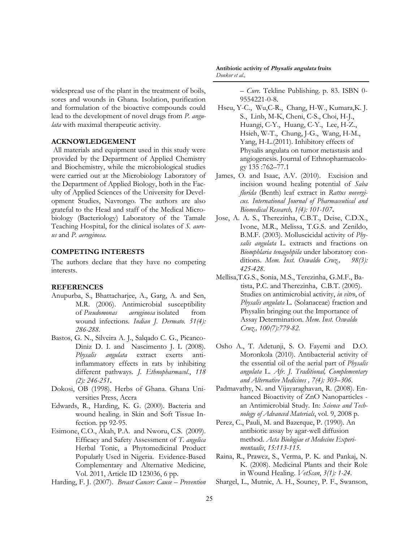widespread use of the plant in the treatment of boils, sores and wounds in Ghana. Isolation, purification and formulation of the bioactive compounds could lead to the development of novel drugs from *P. angulata* with maximal therapeutic activity.

## **ACKNOWLEDGEMENT**

All materials and equipment used in this study were provided by the Department of Applied Chemistry and Biochemistry, while the microbiological studies were carried out at the Microbiology Laboratory of the Department of Applied Biology, both in the Faculty of Applied Sciences of the University for Development Studies, Navrongo. The authors are also grateful to the Head and staff of the Medical Microbiology (Bacteriology) Laboratory of the Tamale Teaching Hospital, for the clinical isolates of *S. aureus* and *P. aeruginosa*.

## **COMPETING INTERESTS**

The authors declare that they have no competing interests.

#### **REFERENCES**

- Anupurba, S., Bhattacharjee, A., Garg, A. and Sen, M.R. (2006). Antimicrobial susceptibility of *Pseudomonas aeruginosa* isolated from wound infections*. Indian J. Dermato. 51(4): 286-288*.
- Bastos, G. N., Silveira A. J., Salqado C. G., Picanco-Diniz D. I. and Nascimento J. L (2008). *Physalis angulata* extract exerts antiinflammatory effects in rats by inhibiting different pathways. *J. Ethnopharmacol.*, *118 (2): 246-251***.**
- Dokosi, OB (1998). Herbs of Ghana. Ghana Universities Press, Accra
- Edwards, R., Harding, K. G. (2000). Bacteria and wound healing. in Skin and Soft Tissue Infection. pp 92-95.
- Esimone, C.O., Akah, P.A. and Nworu, C.S. (2009). Efficacy and Safety Assessment of *T. angelica* Herbal Tonic, a Phytomedicinal Product Popularly Used in Nigeria. Evidence-Based Complementary and Alternative Medicine, Vol. 2011, Article ID 123036, 6 pp.
- Harding, F. J. (2007). *[Breast Cancer: Cause](http://books.google.com/?id=0h2gDLv3MOEC&pg=PT83) – Prevention*

**Antibiotic activity of Physalis angulata fruits**  *Donkor et al.,*

*– [Cure](http://books.google.com/?id=0h2gDLv3MOEC&pg=PT83)*. Tekline Publishing. p. 83. [ISBN](http://en.wikipedia.org/wiki/International_Standard_Book_Number) [0-](http://en.wikipedia.org/wiki/Special:BookSources/0-9554221-0-8) [9554221-0-8.](http://en.wikipedia.org/wiki/Special:BookSources/0-9554221-0-8) 

- Hseu, Y-C., Wu,C-R., Chang, H-W., Kumara,K. J. S., Linb, M-K, Cheni, C-S., Choi, H-J., Huangi, C-Y., Huang, C-Y., Lee, H-Z., Hsieh, W-T., Chung, J-G., Wang, H-M., Yang, H-L.(2011). Inhibitory effects of Physalis angulata on tumor metastasis and angiogenesis. Journal of Ethnopharmacology 135 :762–77.1
- James, O. and Isaac, A.V. (2010). Excision and incision wound healing potential of *Saba florida* (Benth) leaf extract in *Rattus novergicus. International Journal of Pharmaceutical and Biomedical Research, 1(4): 101-107***.**
- Jose, A. A. S., Therezinha, C.B.T., Deise, C.D.X., Ivone, M.R., Melissa, T.G.S. and Zenildo, B.M.F. (2003). Molluscicidal activity of *Physalis angulata* L. extracts and fractions on *Biomphlaria tenagohpila* under laboratory conditions. *Mem. Inst. Oswaldo Cruz., 98(3): 425-428*.
- Mellisa,T.G.S., Sonia, M.S., Terezinha, G.M.F., Batista, P.C. and Therezinha, C.B.T. (2005). Studies on antimicrobial activity, *in vitro*, of *Physalis angulata* L. (Solanaceae) fraction and Physalin bringing out the Importance of Assay Determination. *[Mem. Inst. Oswaldo](http://www.ncbi.nlm.nih.gov/pubmed/16410969)  [Cruz.,](http://www.ncbi.nlm.nih.gov/pubmed/16410969) 100(7):779-82.*
- Osho A., T. Adetunji, S. O. Fayemi and D.O. Moronkola (2010). Antibacterial activity of the essential oil of the aerial part of *Physalis angulata* L. *Afr. J. Traditional, Complementary and Alternative Medicines , 7(4): 303–306*.
- Padmavathy, N. and Vijayaraghavan, R. (2008). Enhanced Bioactivity of ZnO Nanoparticles an Antimicrobial Study*.* In: *Science and Technology of Advanced Materials*, vol. 9, 2008 p.
- Perez, C., Pauli, M. and Bazerque, P. (1990). An antibiotic assay by agar-well diffusion method. *Acta Biologiae et Medecine Experimentaalis*, *15:113-115*.
- Raina, R., Prawez, S., Verma, P. K. and Pankaj, N. K. (2008). Medicinal Plants and their Role in Wound Healing. *VetScan*, *3(1): 1-24*.
- Shargel, L., Mutnic, A. H., Souney, P. F., Swanson,